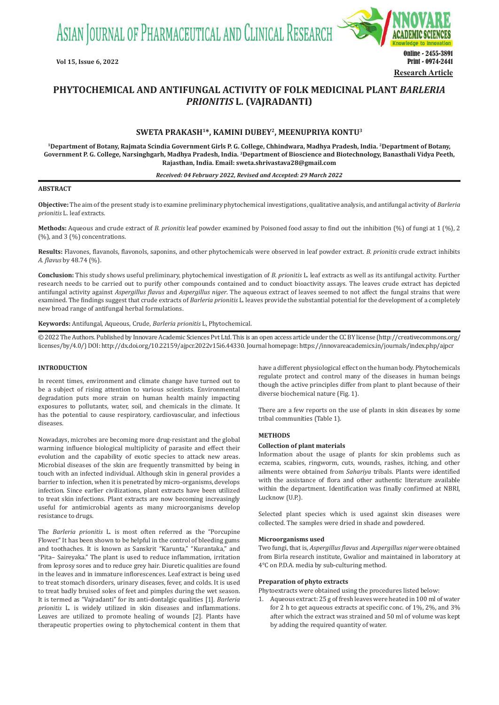ASIAN JOURNAL OF PHARMACEUTICAL AND CLINICAL RESEARCH



# **PHYTOCHEMICAL AND ANTIFUNGAL ACTIVITY OF FOLK MEDICINAL PLANT** *BARLERIA PRIONITIS* **L. (VAJRADANTI)**

# **SWETA PRAKASH1\*, KAMINI DUBEY2, MEENUPRIYA KONTU<sup>3</sup>**

**<sup>1</sup>Department of Botany, Rajmata Scindia Government Girls P. G. College, Chhindwara, Madhya Pradesh, India. 2Department of Botany, Government P. G. College, Narsinghgarh, Madhya Pradesh, India. <sup>3</sup>Department of Bioscience and Biotechnology, Banasthali Vidya Peeth, Rajasthan, India. Email: sweta.shrivastava28@gmail.com**

#### *Received: 04 February 2022, Revised and Accepted: 29 March 2022*

## **ABSTRACT**

**Objective:** The aim of the present study is to examine preliminary phytochemical investigations, qualitative analysis, and antifungal activity of *Barleria prionitis* L. leaf extracts.

**Methods:** Aqueous and crude extract of *B. prionitis* leaf powder examined by Poisoned food assay to find out the inhibition (%) of fungi at 1 (%), 2 (%), and 3 (%) concentrations.

**Results:** Flavones, flavanols, flavonols, saponins, and other phytochemicals were observed in leaf powder extract. *B. prionitis* crude extract inhibits *A. flavus* by 48.74 (%).

**Conclusion:** This study shows useful preliminary, phytochemical investigation of *B. prionitis* L. leaf extracts as well as its antifungal activity. Further research needs to be carried out to purify other compounds contained and to conduct bioactivity assays. The leaves crude extract has depicted antifungal activity against *Aspergillus flavus* and *Aspergillus niger*. The aqueous extract of leaves seemed to not affect the fungal strains that were examined. The findings suggest that crude extracts of *Barleria prionitis* L. leaves provide the substantial potential for the development of a completely new broad range of antifungal herbal formulations.

**Keywords:** Antifungal, Aqueous, Crude, *Barleria prionitis* L, Phytochemical.

© 2022 The Authors. Published by Innovare Academic Sciences Pvt Ltd. This is an open access article under the CC BY license (http://creativecommons.org/ licenses/by/4.0/) DOI: http://dx.doi.org/10.22159/ajpcr.2022v15i6.44330. Journal homepage: https://innovareacademics.in/journals/index.php/ajpcr

## **INTRODUCTION**

In recent times, environment and climate change have turned out to be a subject of rising attention to various scientists. Environmental degradation puts more strain on human health mainly impacting exposures to pollutants, water, soil, and chemicals in the climate. It has the potential to cause respiratory, cardiovascular, and infectious diseases.

Nowadays, microbes are becoming more drug-resistant and the global warming influence biological multiplicity of parasite and effect their evolution and the capability of exotic species to attack new areas. Microbial diseases of the skin are frequently transmitted by being in touch with an infected individual. Although skin in general provides a barrier to infection, when it is penetrated by micro-organisms, develops infection. Since earlier civilizations, plant extracts have been utilized to treat skin infections. Plant extracts are now becoming increasingly useful for antimicrobial agents as many microorganisms develop resistance to drugs.

The *Barleria prionitis* L. is most often referred as the "Porcupine Flower." It has been shown to be helpful in the control of bleeding gums and toothaches. It is known as Sanskrit "Karunta," "Kurantaka," and "Pita– Saireyaka." The plant is used to reduce inflammation, irritation from leprosy sores and to reduce grey hair. Diuretic qualities are found in the leaves and in immature inflorescences. Leaf extract is being used to treat stomach disorders, urinary diseases, fever, and colds. It is used to treat badly bruised soles of feet and pimples during the wet season. It is termed as "Vajradanti" for its anti-dontalgic qualities [1]. *Barleria prionitis* L. is widely utilized in skin diseases and inflammations. Leaves are utilized to promote healing of wounds [2]. Plants have therapeutic properties owing to phytochemical content in them that have a different physiological effect on the human body. Phytochemicals regulate protect and control many of the diseases in human beings though the active principles differ from plant to plant because of their diverse biochemical nature (Fig. 1).

There are a few reports on the use of plants in skin diseases by some tribal communities (Table 1).

# **METHODS**

### **Collection of plant materials**

Information about the usage of plants for skin problems such as eczema, scabies, ringworm, cuts, wounds, rashes, itching, and other ailments were obtained from *Sahariya* tribals. Plants were identified with the assistance of flora and other authentic literature available within the department. Identification was finally confirmed at NBRI, Lucknow (U.P.).

Selected plant species which is used against skin diseases were collected. The samples were dried in shade and powdered.

#### **Microorganisms used**

Two fungi, that is, *Aspergillus flavus* and *Aspergillus niger* were obtained from Birla research institute, Gwalior and maintained in laboratory at 4°C on P.D.A. media by sub-culturing method.

#### **Preparation of phyto extracts**

Phytoextracts were obtained using the procedures listed below:

1. Aqueous extract: 25 g of fresh leaves were heated in 100 ml of water for 2 h to get aqueous extracts at specific conc. of 1%, 2%, and 3% after which the extract was strained and 50 ml of volume was kept by adding the required quantity of water.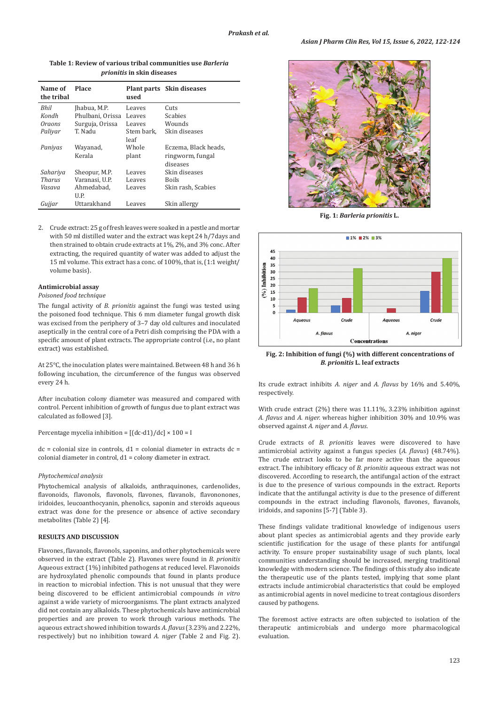| <i>prionitis</i> in skin diseases |                  |            |                           |  |  |  |  |
|-----------------------------------|------------------|------------|---------------------------|--|--|--|--|
| Name of<br>the tribal             | <b>Place</b>     | used       | Plant parts Skin diseases |  |  |  |  |
| Bhil                              | Jhabua, M.P.     | Leaves     | Cuts                      |  |  |  |  |
| Kondh                             | Phulbani, Orissa | Leaves     | <b>Scabies</b>            |  |  |  |  |
| Oraons                            | Surguja, Orissa  | Leaves     | Wounds                    |  |  |  |  |
| Paliyar                           | T. Nadu          | Stem bark, | Skin diseases             |  |  |  |  |
|                                   |                  | leaf       |                           |  |  |  |  |
| Paniyas                           | Wayanad,         | Whole      | Eczema, Black heads,      |  |  |  |  |
|                                   | Kerala           | plant      | ringworm, fungal          |  |  |  |  |
|                                   |                  |            | diseases                  |  |  |  |  |
| Sahariya                          | Sheopur, M.P.    | Leaves     | Skin diseases             |  |  |  |  |
| Tharus                            | Varanasi. U.P.   | Leaves     | <b>Boils</b>              |  |  |  |  |
| Vasava                            | Ahmedabad,       | Leaves     | Skin rash, Scabies        |  |  |  |  |
|                                   | U.P.             |            |                           |  |  |  |  |
| Gujjar                            | Uttarakhand      | Leaves     | Skin allergy              |  |  |  |  |

**Table 1: Review of various tribal communities use** *Barleria* 

2. Crude extract: 25 g of fresh leaves were soaked in a pestle and mortar with 50 ml distilled water and the extract was kept 24 h/7days and then strained to obtain crude extracts at 1%, 2%, and 3% conc. After extracting, the required quantity of water was added to adjust the 15 ml volume. This extract has a conc. of 100%, that is, (1:1 weight/ volume basis).

## **Antimicrobial assay**

## *Poisoned food technique*

The fungal activity of *B. prionitis* against the fungi was tested using the poisoned food technique. This 6 mm diameter fungal growth disk was excised from the periphery of 3–7 day old cultures and inoculated aseptically in the central core of a Petri dish comprising the PDA with a specific amount of plant extracts. The appropriate control (i.e., no plant extract) was established.

At 25°C, the inoculation plates were maintained. Between 48 h and 36 h following incubation, the circumference of the fungus was observed every 24 h.

After incubation colony diameter was measured and compared with control. Percent inhibition of growth of fungus due to plant extract was calculated as followed [3].

Percentage mycelia inhibition =  $[(dc-d1)/dc] \times 100 =$  I

 $dc =$  colonial size in controls,  $d1 =$  colonial diameter in extracts  $dc =$ colonial diameter in control, d1 = colony diameter in extract.

#### *Phytochemical analysis*

Phytochemical analysis of alkaloids, anthraquinones, cardenolides, flavonoids, flavonols, flavonols, flavones, flavanols, flavononones, iridoides, leucoanthocyanin, phenolics, saponin and steroids aqueous extract was done for the presence or absence of active secondary metabolites (Table 2) [4].

## **RESULTS AND DISCUSSION**

Flavones, flavanols, flavonols, saponins, and other phytochemicals were observed in the extract (Table 2). Flavones were found in *B. prionitis* Aqueous extract (1%) inhibited pathogens at reduced level. Flavonoids are hydroxylated phenolic compounds that found in plants produce in reaction to microbial infection. This is not unusual that they were being discovered to be efficient antimicrobial compounds *in vitro* against a wide variety of microorganisms. The plant extracts analyzed did not contain any alkaloids. These phytochemicals have antimicrobial properties and are proven to work through various methods. The aqueous extract showed inhibition towards *A. flavus* (3.23% and 2.22%, respectively) but no inhibition toward *A. niger* (Table 2 and Fig. 2).



**Fig. 1:** *Barleria prionitis* **L.**



**Fig. 2: Inhibition of fungi (%) with different concentrations of**  *B. prionitis* **L. leaf extracts**

Its crude extract inhibits *A. niger* and *A. flavus* by 16% and 5.40%, respectively.

With crude extract (2%) there was 11.11%, 3.23% inhibition against *A. flavus* and *A. niger.* whereas higher inhibition 30% and 10.9% was observed against *A. niger* and *A. flavus*.

Crude extracts of *B. prionitis* leaves were discovered to have antimicrobial activity against a fungus species (*A. flavus*) (48.74%). The crude extract looks to be far more active than the aqueous extract. The inhibitory efficacy of *B. prionitis* aqueous extract was not discovered. According to research, the antifungal action of the extract is due to the presence of various compounds in the extract. Reports indicate that the antifungal activity is due to the presence of different compounds in the extract including flavonols, flavones, flavanols, iridoids, and saponins [5-7] (Table 3).

These findings validate traditional knowledge of indigenous users about plant species as antimicrobial agents and they provide early scientific justification for the usage of these plants for antifungal activity. To ensure proper sustainability usage of such plants, local communities understanding should be increased, merging traditional knowledge with modern science. The findings of this study also indicate the therapeutic use of the plants tested, implying that some plant extracts include antimicrobial characteristics that could be employed as antimicrobial agents in novel medicine to treat contagious disorders caused by pathogens.

The foremost active extracts are often subjected to isolation of the therapeutic antimicrobials and undergo more pharmacological evaluation.